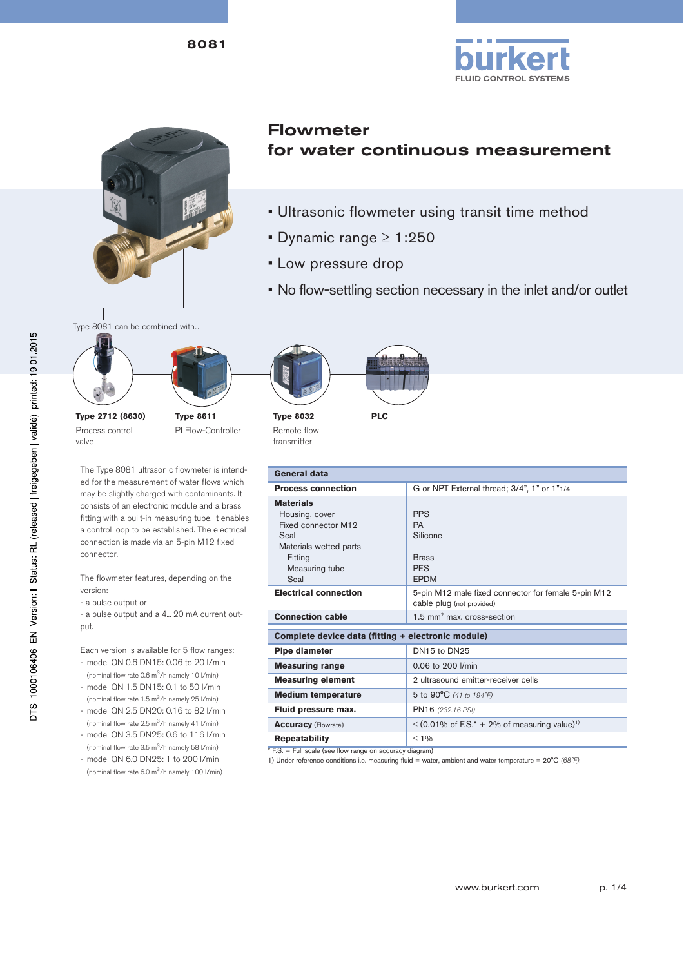8081





# Flowmeter for water continuous measurement

- Ultrasonic flowmeter using transit time method
- Dynamic range  $\geq 1:250$
- Low pressure drop
- No flow-settling section necessary in the inlet and/or outlet

Type 8081 can be combined with...



**Type 2712 (8630)** Process control valve

**Type 8611** PI Flow-Controller

The Type 8081 ultrasonic flowmeter is intended for the measurement of water flows which may be slightly charged with contaminants. It consists of an electronic module and a brass fitting with a built-in measuring tube. It enables a control loop to be established. The electrical connection is made via an 5-pin M12 fixed connector.

The flowmeter features, depending on the version:

- a pulse output or
- a pulse output and a 4... 20 mA current output.

Each version is available for 5 flow ranges:

- model QN 0.6 DN15: 0.06 to 20 l/min (nominal flow rate 0.6 m3/h namely 10 l/min) - model QN 1.5 DN15: 0.1 to 50 l/min
- (nominal flow rate 1.5 m3/h namely 25 l/min) - model QN 2.5 DN20: 0.16 to 82 l/min
- (nominal flow rate 2.5 m3/h namely 41 l/min)
- model QN 3.5 DN25: 0.6 to 116 l/min (nominal flow rate 3.5 m3/h namely 58 l/min)
- model QN 6.0 DN25: 1 to 200 l/min (nominal flow rate 6.0 m3/h namely 100 l/min)



Remote flow transmitter

| General data                                           |                                                                                  |  |  |  |
|--------------------------------------------------------|----------------------------------------------------------------------------------|--|--|--|
| <b>Process connection</b>                              | G or NPT External thread; 3/4", 1" or 1"1/4                                      |  |  |  |
| <b>Materials</b>                                       |                                                                                  |  |  |  |
| Housing, cover                                         | <b>PPS</b>                                                                       |  |  |  |
| Fixed connector M12                                    | <b>PA</b>                                                                        |  |  |  |
| Seal                                                   | Silicone                                                                         |  |  |  |
| Materials wetted parts                                 |                                                                                  |  |  |  |
| Fitting                                                | <b>Brass</b>                                                                     |  |  |  |
| Measuring tube                                         | <b>PES</b>                                                                       |  |  |  |
| Seal                                                   | <b>EPDM</b>                                                                      |  |  |  |
| <b>Electrical connection</b>                           | 5-pin M12 male fixed connector for female 5-pin M12<br>cable plug (not provided) |  |  |  |
| <b>Connection cable</b>                                | $1.5$ mm <sup>2</sup> max. cross-section                                         |  |  |  |
| Complete device data (fitting + electronic module)     |                                                                                  |  |  |  |
| Pipe diameter                                          | DN15 to DN25                                                                     |  |  |  |
| <b>Measuring range</b>                                 | 0.06 to 200 l/min                                                                |  |  |  |
| <b>Measuring element</b>                               | 2 ultrasound emitter-receiver cells                                              |  |  |  |
| <b>Medium temperature</b>                              | 5 to 90°C (41 to 194°F)                                                          |  |  |  |
| Fluid pressure max.                                    | PN16 (232.16 PSI)                                                                |  |  |  |
| <b>Accuracy</b> (Flowrate)                             | $\leq$ (0.01% of F.S.* + 2% of measuring value) <sup>1)</sup>                    |  |  |  |
| <b>Repeatability</b>                                   | $< 1\%$                                                                          |  |  |  |
| $ES = Full scale$ (see flow range on accuracy diagram) |                                                                                  |  |  |  |

\* F.S. = Full scale (see flow range on accuracy diagram) 1) Under reference conditions i.e. measuring fluid = water, ambient and water temperature = 20°C *(68°F)*.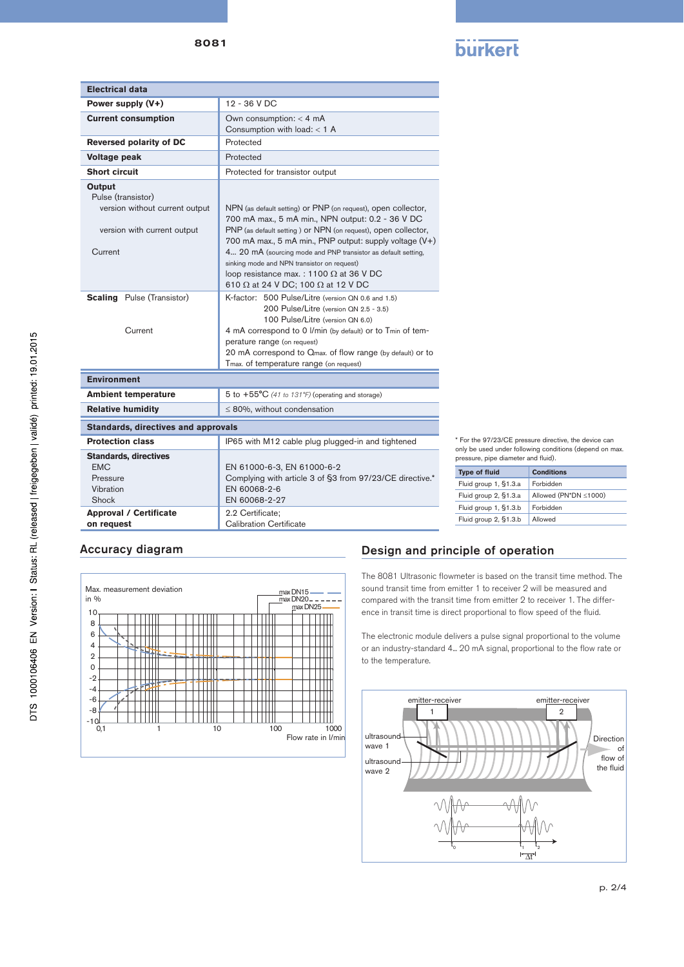| . |  |
|---|--|
|   |  |

| <b>Electrical data</b>                                                                                        |                                                                                                                                                                                                                                                                                                                                                                                                                                                        |  |  |
|---------------------------------------------------------------------------------------------------------------|--------------------------------------------------------------------------------------------------------------------------------------------------------------------------------------------------------------------------------------------------------------------------------------------------------------------------------------------------------------------------------------------------------------------------------------------------------|--|--|
| Power supply (V+)                                                                                             | 12 - 36 V DC                                                                                                                                                                                                                                                                                                                                                                                                                                           |  |  |
| <b>Current consumption</b>                                                                                    | Own consumption: $<$ 4 mA<br>Consumption with load: $<$ 1 A                                                                                                                                                                                                                                                                                                                                                                                            |  |  |
| <b>Reversed polarity of DC</b>                                                                                | Protected                                                                                                                                                                                                                                                                                                                                                                                                                                              |  |  |
| Voltage peak                                                                                                  | Protected                                                                                                                                                                                                                                                                                                                                                                                                                                              |  |  |
| <b>Short circuit</b>                                                                                          | Protected for transistor output                                                                                                                                                                                                                                                                                                                                                                                                                        |  |  |
| Output<br>Pulse (transistor)<br>version without current output<br>version with current output<br>Current      | NPN (as default setting) or PNP (on request), open collector,<br>700 mA max., 5 mA min., NPN output: 0.2 - 36 V DC<br>PNP (as default setting) or NPN (on request), open collector,<br>700 mA max., 5 mA min., PNP output: supply voltage (V+)<br>4 20 mA (sourcing mode and PNP transistor as default setting,<br>sinking mode and NPN transistor on request)<br>loop resistance max.: 1100 $\Omega$ at 36 V DC<br>610 Ω at 24 V DC; 100 Ω at 12 V DC |  |  |
| <b>Scaling</b> Pulse (Transistor)<br>Current                                                                  | K-factor: 500 Pulse/Litre (version QN 0.6 and 1.5)<br>200 Pulse/Litre (version QN 2.5 - 3.5)<br>100 Pulse/Litre (version QN 6.0)<br>4 mA correspond to 0 I/min (by default) or to Tmin of tem-<br>perature range (on request)<br>20 mA correspond to Qmax. of flow range (by default) or to<br>Tmax. of temperature range (on request)                                                                                                                 |  |  |
| <b>Environment</b>                                                                                            |                                                                                                                                                                                                                                                                                                                                                                                                                                                        |  |  |
| <b>Ambient temperature</b>                                                                                    | 5 to $+55^{\circ}$ C (41 to 131°F) (operating and storage)                                                                                                                                                                                                                                                                                                                                                                                             |  |  |
| <b>Relative humidity</b>                                                                                      | $\leq$ 80%, without condensation                                                                                                                                                                                                                                                                                                                                                                                                                       |  |  |
| <b>Standards, directives and approvals</b>                                                                    |                                                                                                                                                                                                                                                                                                                                                                                                                                                        |  |  |
| <b>Protection class</b>                                                                                       | IP65 with M12 cable plug plugged-in and tightened                                                                                                                                                                                                                                                                                                                                                                                                      |  |  |
| <b>Standards, directives</b><br><b>EMC</b><br>Pressure<br>Vibration<br>Shock<br><b>Approval / Certificate</b> | EN 61000-6-3, EN 61000-6-2<br>Complying with article 3 of §3 from 97/23/CE directive.*<br>EN 60068-2-6<br>EN 60068-2-27<br>2.2 Certificate:                                                                                                                                                                                                                                                                                                            |  |  |
| on request                                                                                                    | Calibration Certificate                                                                                                                                                                                                                                                                                                                                                                                                                                |  |  |

\* For the 97/23/CE pressure directive, the device can only be used under following conditions (depend on max. pressure, pipe diameter and fluid).

| <b>Type of fluid</b>  | Conditions            |  |
|-----------------------|-----------------------|--|
| Fluid group 1, §1.3.a | Forbidden             |  |
| Fluid group 2, §1.3.a | Allowed (PN*DN ≤1000) |  |
| Fluid group 1, §1.3.b | Forbidden             |  |
| Fluid group 2, §1.3.b | Allowed               |  |



## Accuracy diagram Design and principle of operation

The 8081 Ultrasonic flowmeter is based on the transit time method. The sound transit time from emitter 1 to receiver 2 will be measured and compared with the transit time from emitter 2 to receiver 1. The difference in transit time is direct proportional to flow speed of the fluid.

The electronic module delivers a pulse signal proportional to the volume or an industry-standard 4... 20 mA signal, proportional to the flow rate or to the temperature.

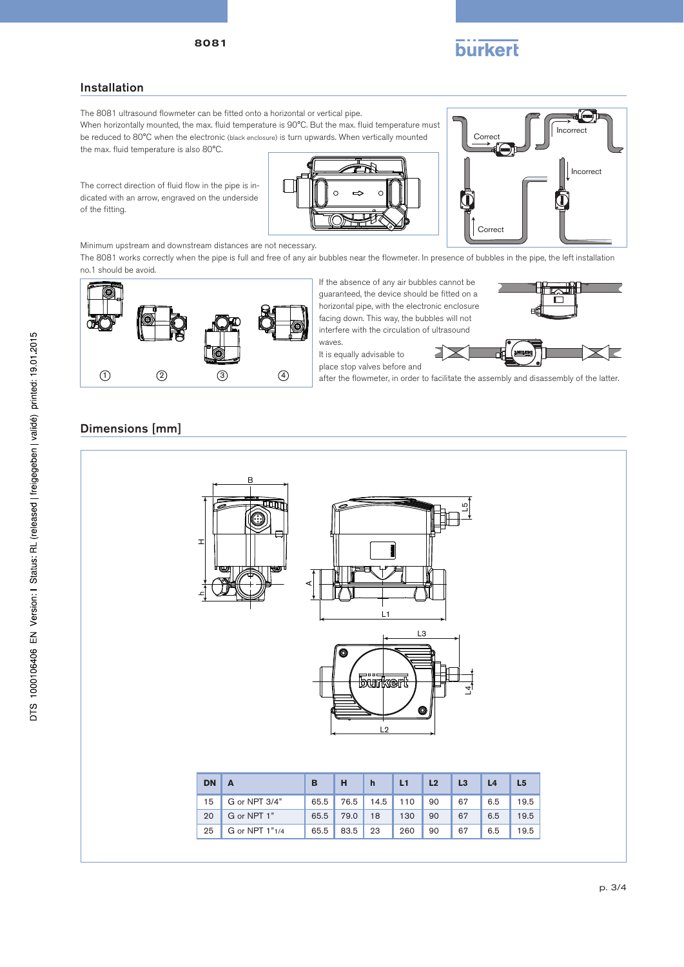

#### Installation

The 8081 ultrasound flowmeter can be fitted onto a horizontal or vertical pipe.

When horizontally mounted, the max. fluid temperature is 90°C. But the max. fluid temperature must be reduced to 80°C when the electronic (black enclosure) is turn upwards. When vertically mounted the max. fluid temperature is also 80°C.





The correct direction of fluid flow in the pipe is indicated with an arrow, engraved on the underside of the fitting.

Minimum upstream and downstream distances are not necessary.

The 8081 works correctly when the pipe is full and free of any air bubbles near the flowmeter. In presence of bubbles in the pipe, the left installation no.1 should be avoid.



If the absence of any air bubbles cannot be guaranteed, the device should be fitted on a horizontal pipe, with the electronic enclosure facing down. This way, the bubbles will not interfere with the circulation of ultrasound



It is equally advisable to



after the flowmeter, in order to facilitate the assembly and disassembly of the latter.

### Dimensions [mm]